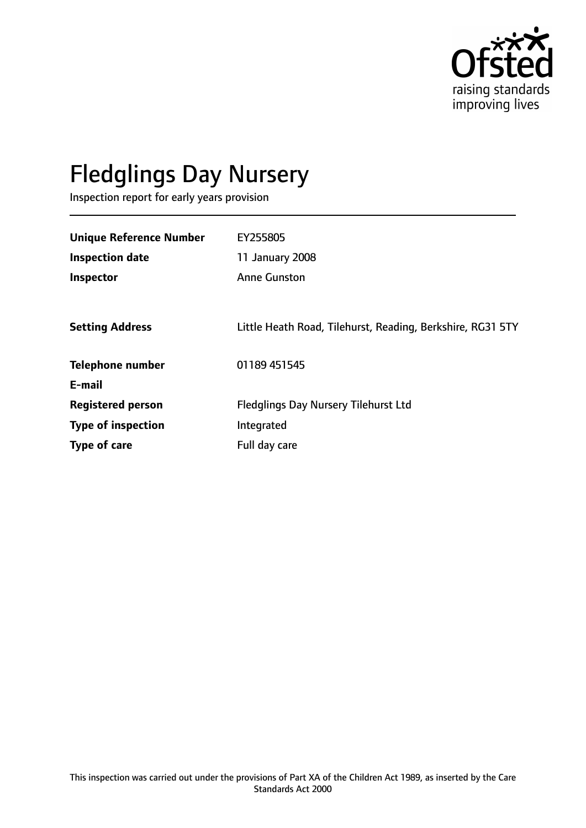

# Fledglings Day Nursery

Inspection report for early years provision

| <b>Unique Reference Number</b> | EY255805                                                   |
|--------------------------------|------------------------------------------------------------|
| <b>Inspection date</b>         | 11 January 2008                                            |
| Inspector                      | <b>Anne Gunston</b>                                        |
|                                |                                                            |
| <b>Setting Address</b>         | Little Heath Road, Tilehurst, Reading, Berkshire, RG31 5TY |
|                                |                                                            |
| <b>Telephone number</b>        | 01189 451545                                               |
| E-mail                         |                                                            |
| <b>Registered person</b>       | <b>Fledglings Day Nursery Tilehurst Ltd</b>                |
| <b>Type of inspection</b>      | Integrated                                                 |
| Type of care                   | Full day care                                              |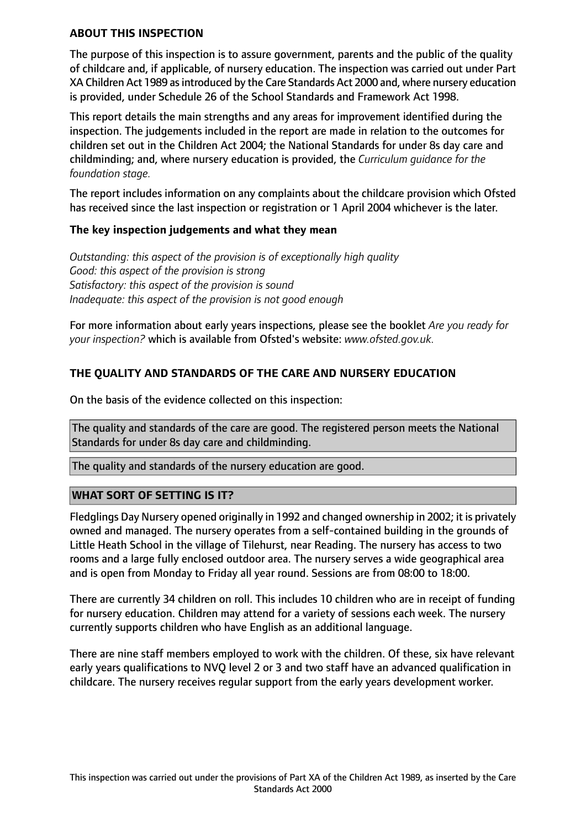#### **ABOUT THIS INSPECTION**

The purpose of this inspection is to assure government, parents and the public of the quality of childcare and, if applicable, of nursery education. The inspection was carried out under Part XA Children Act 1989 as introduced by the Care Standards Act 2000 and, where nursery education is provided, under Schedule 26 of the School Standards and Framework Act 1998.

This report details the main strengths and any areas for improvement identified during the inspection. The judgements included in the report are made in relation to the outcomes for children set out in the Children Act 2004; the National Standards for under 8s day care and childminding; and, where nursery education is provided, the *Curriculum guidance for the foundation stage.*

The report includes information on any complaints about the childcare provision which Ofsted has received since the last inspection or registration or 1 April 2004 whichever is the later.

## **The key inspection judgements and what they mean**

*Outstanding: this aspect of the provision is of exceptionally high quality Good: this aspect of the provision is strong Satisfactory: this aspect of the provision is sound Inadequate: this aspect of the provision is not good enough*

For more information about early years inspections, please see the booklet *Are you ready for your inspection?* which is available from Ofsted's website: *www.ofsted.gov.uk.*

## **THE QUALITY AND STANDARDS OF THE CARE AND NURSERY EDUCATION**

On the basis of the evidence collected on this inspection:

The quality and standards of the care are good. The registered person meets the National Standards for under 8s day care and childminding.

The quality and standards of the nursery education are good.

## **WHAT SORT OF SETTING IS IT?**

Fledglings Day Nursery opened originally in 1992 and changed ownership in 2002; it is privately owned and managed. The nursery operates from a self-contained building in the grounds of Little Heath School in the village of Tilehurst, near Reading. The nursery has access to two rooms and a large fully enclosed outdoor area. The nursery serves a wide geographical area and is open from Monday to Friday all year round. Sessions are from 08:00 to 18:00.

There are currently 34 children on roll. This includes 10 children who are in receipt of funding for nursery education. Children may attend for a variety of sessions each week. The nursery currently supports children who have English as an additional language.

There are nine staff members employed to work with the children. Of these, six have relevant early years qualifications to NVQ level 2 or 3 and two staff have an advanced qualification in childcare. The nursery receives regular support from the early years development worker.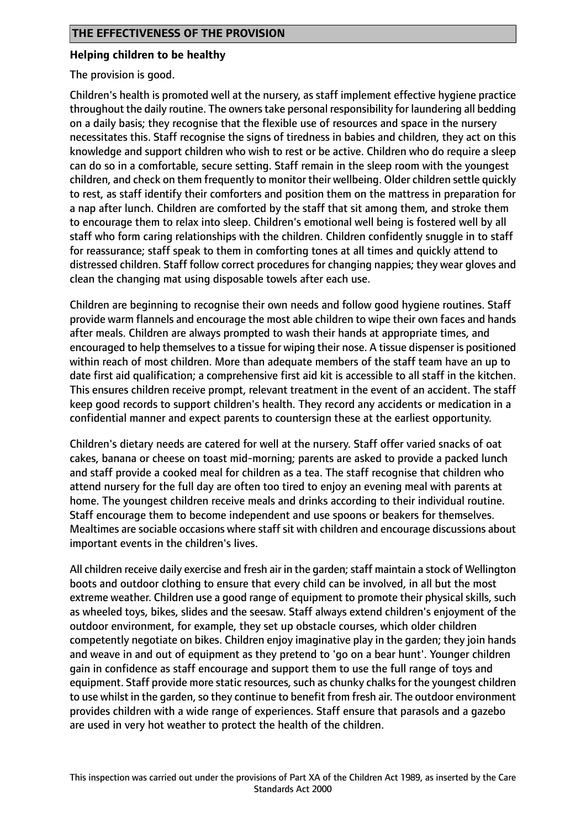#### **Helping children to be healthy**

The provision is good.

Children's health is promoted well at the nursery, as staff implement effective hygiene practice throughout the daily routine. The owners take personal responsibility for laundering all bedding on a daily basis; they recognise that the flexible use of resources and space in the nursery necessitates this. Staff recognise the signs of tiredness in babies and children, they act on this knowledge and support children who wish to rest or be active. Children who do require a sleep can do so in a comfortable, secure setting. Staff remain in the sleep room with the youngest children, and check on them frequently to monitor their wellbeing. Older children settle quickly to rest, as staff identify their comforters and position them on the mattress in preparation for a nap after lunch. Children are comforted by the staff that sit among them, and stroke them to encourage them to relax into sleep. Children's emotional well being is fostered well by all staff who form caring relationships with the children. Children confidently snuggle in to staff for reassurance; staff speak to them in comforting tones at all times and quickly attend to distressed children. Staff follow correct procedures for changing nappies; they wear gloves and clean the changing mat using disposable towels after each use.

Children are beginning to recognise their own needs and follow good hygiene routines. Staff provide warm flannels and encourage the most able children to wipe their own faces and hands after meals. Children are always prompted to wash their hands at appropriate times, and encouraged to help themselves to a tissue for wiping their nose. A tissue dispenser is positioned within reach of most children. More than adequate members of the staff team have an up to date first aid qualification; a comprehensive first aid kit is accessible to all staff in the kitchen. This ensures children receive prompt, relevant treatment in the event of an accident. The staff keep good records to support children's health. They record any accidents or medication in a confidential manner and expect parents to countersign these at the earliest opportunity.

Children's dietary needs are catered for well at the nursery. Staff offer varied snacks of oat cakes, banana or cheese on toast mid-morning; parents are asked to provide a packed lunch and staff provide a cooked meal for children as a tea. The staff recognise that children who attend nursery for the full day are often too tired to enjoy an evening meal with parents at home. The youngest children receive meals and drinks according to their individual routine. Staff encourage them to become independent and use spoons or beakers for themselves. Mealtimes are sociable occasions where staff sit with children and encourage discussions about important events in the children's lives.

All children receive daily exercise and fresh air in the garden; staff maintain a stock of Wellington boots and outdoor clothing to ensure that every child can be involved, in all but the most extreme weather. Children use a good range of equipment to promote their physical skills, such as wheeled toys, bikes, slides and the seesaw. Staff always extend children's enjoyment of the outdoor environment, for example, they set up obstacle courses, which older children competently negotiate on bikes. Children enjoy imaginative play in the garden; they join hands and weave in and out of equipment as they pretend to 'go on a bear hunt'. Younger children gain in confidence as staff encourage and support them to use the full range of toys and equipment. Staff provide more static resources, such as chunky chalks for the youngest children to use whilst in the garden, so they continue to benefit from fresh air. The outdoor environment provides children with a wide range of experiences. Staff ensure that parasols and a gazebo are used in very hot weather to protect the health of the children.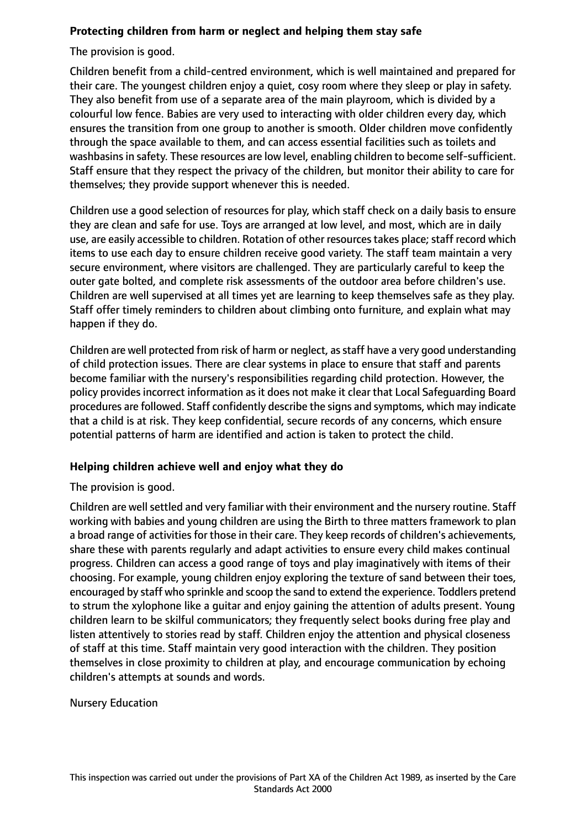# **Protecting children from harm or neglect and helping them stay safe**

The provision is good.

Children benefit from a child-centred environment, which is well maintained and prepared for their care. The youngest children enjoy a quiet, cosy room where they sleep or play in safety. They also benefit from use of a separate area of the main playroom, which is divided by a colourful low fence. Babies are very used to interacting with older children every day, which ensures the transition from one group to another is smooth. Older children move confidently through the space available to them, and can access essential facilities such as toilets and washbasins in safety. These resources are low level, enabling children to become self-sufficient. Staff ensure that they respect the privacy of the children, but monitor their ability to care for themselves; they provide support whenever this is needed.

Children use a good selection of resources for play, which staff check on a daily basis to ensure they are clean and safe for use. Toys are arranged at low level, and most, which are in daily use, are easily accessible to children. Rotation of other resources takes place; staff record which items to use each day to ensure children receive good variety. The staff team maintain a very secure environment, where visitors are challenged. They are particularly careful to keep the outer gate bolted, and complete risk assessments of the outdoor area before children's use. Children are well supervised at all times yet are learning to keep themselves safe as they play. Staff offer timely reminders to children about climbing onto furniture, and explain what may happen if they do.

Children are well protected from risk of harm or neglect, as staff have a very good understanding of child protection issues. There are clear systems in place to ensure that staff and parents become familiar with the nursery's responsibilities regarding child protection. However, the policy provides incorrect information as it does not make it clear that Local Safeguarding Board procedures are followed. Staff confidently describe the signs and symptoms, which may indicate that a child is at risk. They keep confidential, secure records of any concerns, which ensure potential patterns of harm are identified and action is taken to protect the child.

## **Helping children achieve well and enjoy what they do**

The provision is good.

Children are well settled and very familiar with their environment and the nursery routine. Staff working with babies and young children are using the Birth to three matters framework to plan a broad range of activities for those in their care. They keep records of children's achievements, share these with parents regularly and adapt activities to ensure every child makes continual progress. Children can access a good range of toys and play imaginatively with items of their choosing. For example, young children enjoy exploring the texture of sand between their toes, encouraged by staff who sprinkle and scoop the sand to extend the experience. Toddlers pretend to strum the xylophone like a guitar and enjoy gaining the attention of adults present. Young children learn to be skilful communicators; they frequently select books during free play and listen attentively to stories read by staff. Children enjoy the attention and physical closeness of staff at this time. Staff maintain very good interaction with the children. They position themselves in close proximity to children at play, and encourage communication by echoing children's attempts at sounds and words.

Nursery Education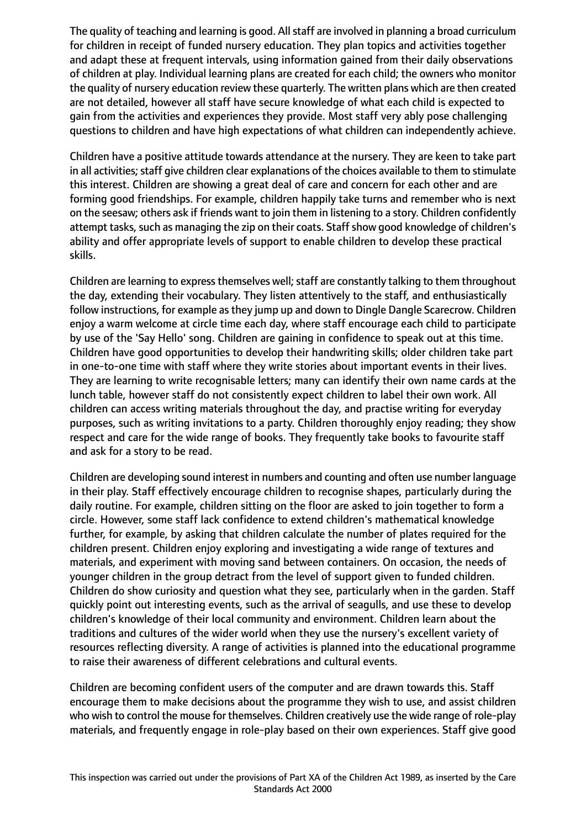The quality of teaching and learning is good. All staff are involved in planning a broad curriculum for children in receipt of funded nursery education. They plan topics and activities together and adapt these at frequent intervals, using information gained from their daily observations of children at play. Individual learning plans are created for each child; the owners who monitor the quality of nursery education review these quarterly. The written plans which are then created are not detailed, however all staff have secure knowledge of what each child is expected to gain from the activities and experiences they provide. Most staff very ably pose challenging questions to children and have high expectations of what children can independently achieve.

Children have a positive attitude towards attendance at the nursery. They are keen to take part in all activities; staff give children clear explanations of the choices available to them to stimulate this interest. Children are showing a great deal of care and concern for each other and are forming good friendships. For example, children happily take turns and remember who is next on the seesaw; others ask if friends want to join them in listening to a story. Children confidently attempt tasks, such as managing the zip on their coats. Staff show good knowledge of children's ability and offer appropriate levels of support to enable children to develop these practical skills.

Children are learning to express themselves well; staff are constantly talking to them throughout the day, extending their vocabulary. They listen attentively to the staff, and enthusiastically follow instructions, for example as they jump up and down to Dingle Dangle Scarecrow. Children enjoy a warm welcome at circle time each day, where staff encourage each child to participate by use of the 'Say Hello' song. Children are gaining in confidence to speak out at this time. Children have good opportunities to develop their handwriting skills; older children take part in one-to-one time with staff where they write stories about important events in their lives. They are learning to write recognisable letters; many can identify their own name cards at the lunch table, however staff do not consistently expect children to label their own work. All children can access writing materials throughout the day, and practise writing for everyday purposes, such as writing invitations to a party. Children thoroughly enjoy reading; they show respect and care for the wide range of books. They frequently take books to favourite staff and ask for a story to be read.

Children are developing sound interest in numbers and counting and often use number language in their play. Staff effectively encourage children to recognise shapes, particularly during the daily routine. For example, children sitting on the floor are asked to join together to form a circle. However, some staff lack confidence to extend children's mathematical knowledge further, for example, by asking that children calculate the number of plates required for the children present. Children enjoy exploring and investigating a wide range of textures and materials, and experiment with moving sand between containers. On occasion, the needs of younger children in the group detract from the level of support given to funded children. Children do show curiosity and question what they see, particularly when in the garden. Staff quickly point out interesting events, such as the arrival of seagulls, and use these to develop children's knowledge of their local community and environment. Children learn about the traditions and cultures of the wider world when they use the nursery's excellent variety of resources reflecting diversity. A range of activities is planned into the educational programme to raise their awareness of different celebrations and cultural events.

Children are becoming confident users of the computer and are drawn towards this. Staff encourage them to make decisions about the programme they wish to use, and assist children who wish to control the mouse for themselves. Children creatively use the wide range of role-play materials, and frequently engage in role-play based on their own experiences. Staff give good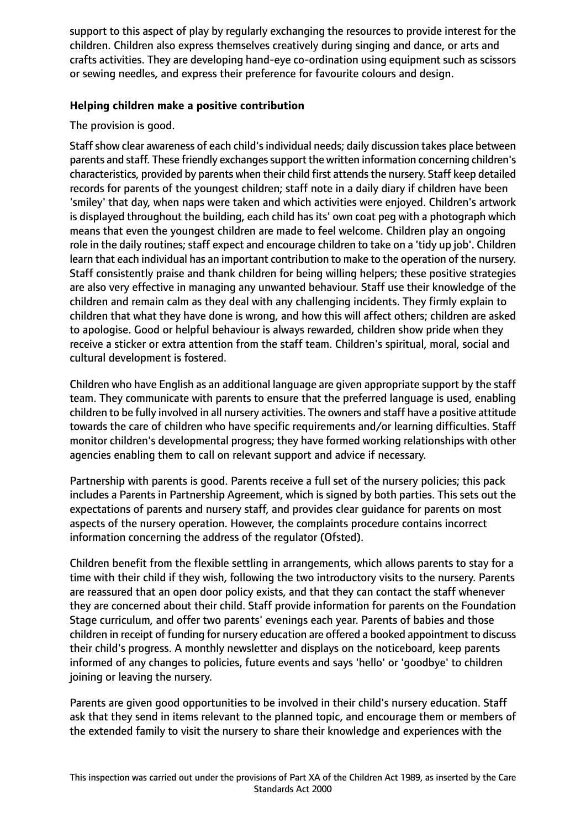support to this aspect of play by regularly exchanging the resources to provide interest for the children. Children also express themselves creatively during singing and dance, or arts and crafts activities. They are developing hand-eye co-ordination using equipment such as scissors or sewing needles, and express their preference for favourite colours and design.

## **Helping children make a positive contribution**

# The provision is good.

Staff show clear awareness of each child's individual needs; daily discussion takes place between parents and staff. These friendly exchanges support the written information concerning children's characteristics, provided by parents when their child first attendsthe nursery. Staff keep detailed records for parents of the youngest children; staff note in a daily diary if children have been 'smiley' that day, when naps were taken and which activities were enjoyed. Children's artwork is displayed throughout the building, each child has its' own coat peg with a photograph which means that even the youngest children are made to feel welcome. Children play an ongoing role in the daily routines; staff expect and encourage children to take on a 'tidy up job'. Children learn that each individual has an important contribution to make to the operation of the nursery. Staff consistently praise and thank children for being willing helpers; these positive strategies are also very effective in managing any unwanted behaviour. Staff use their knowledge of the children and remain calm as they deal with any challenging incidents. They firmly explain to children that what they have done is wrong, and how this will affect others; children are asked to apologise. Good or helpful behaviour is always rewarded, children show pride when they receive a sticker or extra attention from the staff team. Children's spiritual, moral, social and cultural development is fostered.

Children who have English as an additional language are given appropriate support by the staff team. They communicate with parents to ensure that the preferred language is used, enabling children to be fully involved in all nursery activities. The owners and staff have a positive attitude towards the care of children who have specific requirements and/or learning difficulties. Staff monitor children's developmental progress; they have formed working relationships with other agencies enabling them to call on relevant support and advice if necessary.

Partnership with parents is good. Parents receive a full set of the nursery policies; this pack includes a Parents in Partnership Agreement, which is signed by both parties. This sets out the expectations of parents and nursery staff, and provides clear guidance for parents on most aspects of the nursery operation. However, the complaints procedure contains incorrect information concerning the address of the regulator (Ofsted).

Children benefit from the flexible settling in arrangements, which allows parents to stay for a time with their child if they wish, following the two introductory visits to the nursery. Parents are reassured that an open door policy exists, and that they can contact the staff whenever they are concerned about their child. Staff provide information for parents on the Foundation Stage curriculum, and offer two parents' evenings each year. Parents of babies and those children in receipt of funding for nursery education are offered a booked appointment to discuss their child's progress. A monthly newsletter and displays on the noticeboard, keep parents informed of any changes to policies, future events and says 'hello' or 'goodbye' to children joining or leaving the nursery.

Parents are given good opportunities to be involved in their child's nursery education. Staff ask that they send in items relevant to the planned topic, and encourage them or members of the extended family to visit the nursery to share their knowledge and experiences with the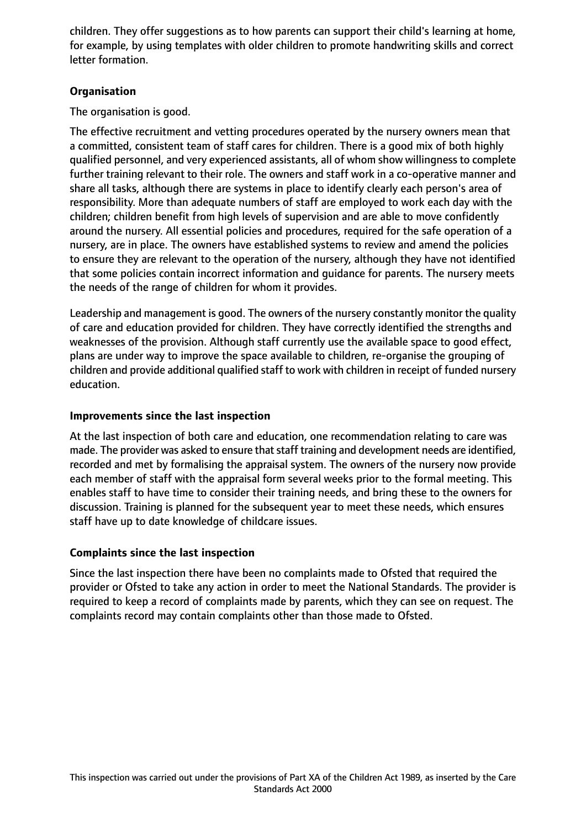children. They offer suggestions as to how parents can support their child's learning at home, for example, by using templates with older children to promote handwriting skills and correct letter formation.

# **Organisation**

The organisation is good.

The effective recruitment and vetting procedures operated by the nursery owners mean that a committed, consistent team of staff cares for children. There is a good mix of both highly qualified personnel, and very experienced assistants, all of whom show willingness to complete further training relevant to their role. The owners and staff work in a co-operative manner and share all tasks, although there are systems in place to identify clearly each person's area of responsibility. More than adequate numbers of staff are employed to work each day with the children; children benefit from high levels of supervision and are able to move confidently around the nursery. All essential policies and procedures, required for the safe operation of a nursery, are in place. The owners have established systems to review and amend the policies to ensure they are relevant to the operation of the nursery, although they have not identified that some policies contain incorrect information and guidance for parents. The nursery meets the needs of the range of children for whom it provides.

Leadership and management is good. The owners of the nursery constantly monitor the quality of care and education provided for children. They have correctly identified the strengths and weaknesses of the provision. Although staff currently use the available space to good effect, plans are under way to improve the space available to children, re-organise the grouping of children and provide additional qualified staff to work with children in receipt of funded nursery education.

# **Improvements since the last inspection**

At the last inspection of both care and education, one recommendation relating to care was made. The provider was asked to ensure that staff training and development needs are identified, recorded and met by formalising the appraisal system. The owners of the nursery now provide each member of staff with the appraisal form several weeks prior to the formal meeting. This enables staff to have time to consider their training needs, and bring these to the owners for discussion. Training is planned for the subsequent year to meet these needs, which ensures staff have up to date knowledge of childcare issues.

## **Complaints since the last inspection**

Since the last inspection there have been no complaints made to Ofsted that required the provider or Ofsted to take any action in order to meet the National Standards. The provider is required to keep a record of complaints made by parents, which they can see on request. The complaints record may contain complaints other than those made to Ofsted.